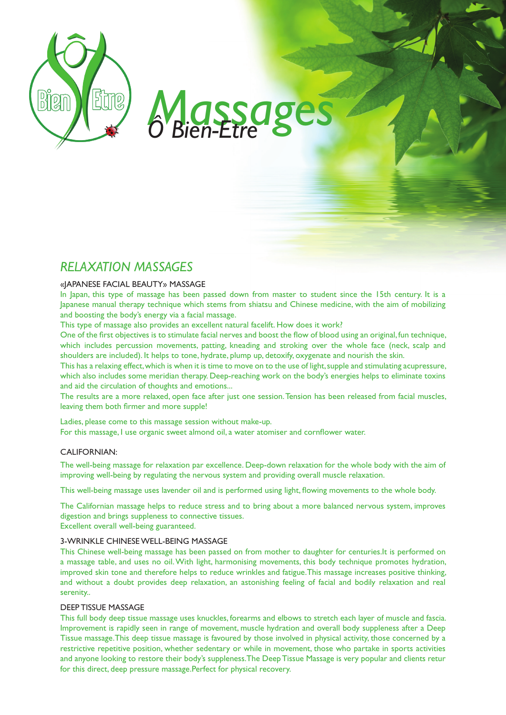

# *Massages Ô Bien-Etre*

# *Relaxation Massages*

## «JAPANESE FACIAL BEAUTY» MASSAGE

In Japan, this type of massage has been passed down from master to student since the 15th century. It is a Japanese manual therapy technique which stems from shiatsu and Chinese medicine, with the aim of mobilizing and boosting the body's energy via a facial massage.

This type of massage also provides an excellent natural facelift. How does it work?

One of the first objectives is to stimulate facial nerves and boost the flow of blood using an original, fun technique, which includes percussion movements, patting, kneading and stroking over the whole face (neck, scalp and shoulders are included). It helps to tone, hydrate, plump up, detoxify, oxygenate and nourish the skin.

This has a relaxing effect, which is when it is time to move on to the use of light, supple and stimulating acupressure, which also includes some meridian therapy. Deep-reaching work on the body's energies helps to eliminate toxins and aid the circulation of thoughts and emotions...

The results are a more relaxed, open face after just one session. Tension has been released from facial muscles, leaving them both firmer and more supple!

Ladies, please come to this massage session without make-up. For this massage, I use organic sweet almond oil, a water atomiser and cornflower water.

### Californian:

The well-being massage for relaxation par excellence. Deep-down relaxation for the whole body with the aim of improving well-being by regulating the nervous system and providing overall muscle relaxation.

This well-being massage uses lavender oil and is performed using light, flowing movements to the whole body.

The Californian massage helps to reduce stress and to bring about a more balanced nervous system, improves digestion and brings suppleness to connective tissues. Excellent overall well-being guaranteed.

### 3-Wrinkle Chinese Well-Being Massage

This Chinese well-being massage has been passed on from mother to daughter for centuries.It is performed on a massage table, and uses no oil. With light, harmonising movements, this body technique promotes hydration, improved skin tone and therefore helps to reduce wrinkles and fatigue.This massage increases positive thinking, and without a doubt provides deep relaxation, an astonishing feeling of facial and bodily relaxation and real serenity..

### DEEP TISSUE MASSAGE

This full body deep tissue massage uses knuckles, forearms and elbows to stretch each layer of muscle and fascia. Improvement is rapidly seen in range of movement, muscle hydration and overall body suppleness after a Deep Tissue massage.This deep tissue massage is favoured by those involved in physical activity, those concerned by a restrictive repetitive position, whether sedentary or while in movement, those who partake in sports activities and anyone looking to restore their body's suppleness.The Deep Tissue Massage is very popular and clients retur for this direct, deep pressure massage.Perfect for physical recovery.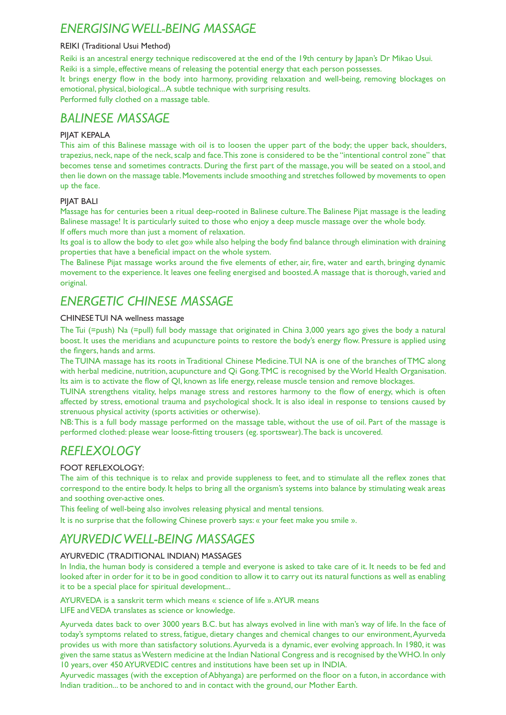# *Energising Well-being Massage*

### Reiki (Traditional Usui Method)

Reiki is an ancestral energy technique rediscovered at the end of the 19th century by Japan's Dr Mikao Usui. Reiki is a simple, effective means of releasing the potential energy that each person possesses. It brings energy flow in the body into harmony, providing relaxation and well-being, removing blockages on emotional, physical, biological... A subtle technique with surprising results.

Performed fully clothed on a massage table.

# *BALINESE MASSAGE*

### PIJAT KEPALA

This aim of this Balinese massage with oil is to loosen the upper part of the body; the upper back, shoulders, trapezius, neck, nape of the neck, scalp and face. This zone is considered to be the "intentional control zone" that becomes tense and sometimes contracts. During the first part of the massage, you will be seated on a stool, and then lie down on the massage table. Movements include smoothing and stretches followed by movements to open up the face.

### PIJAT BALI

Massage has for centuries been a ritual deep-rooted in Balinese culture. The Balinese Pijat massage is the leading Balinese massage! It is particularly suited to those who enjoy a deep muscle massage over the whole body. If offers much more than just a moment of relaxation.

Its goal is to allow the body to «let go» while also helping the body find balance through elimination with draining properties that have a beneficial impact on the whole system.

The Balinese Pijat massage works around the five elements of ether, air, fire, water and earth, bringing dynamic movement to the experience. It leaves one feeling energised and boosted. A massage that is thorough, varied and original.

# *ENERGETIC CHINESE MASSAGE*

### CHINESE TUI NA wellness massage

The Tui (=push) Na (=pull) full body massage that originated in China 3,000 years ago gives the body a natural boost. It uses the meridians and acupuncture points to restore the body's energy flow. Pressure is applied using the fingers, hands and arms.

The TUINA massage has its roots in Traditional Chinese Medicine. TUI NA is one of the branches of TMC along with herbal medicine, nutrition, acupuncture and Qi Gong. TMC is recognised by the World Health Organisation. Its aim is to activate the flow of QI, known as life energy, release muscle tension and remove blockages.

TUINA strengthens vitality, helps manage stress and restores harmony to the flow of energy, which is often affected by stress, emotional trauma and psychological shock. It is also ideal in response to tensions caused by strenuous physical activity (sports activities or otherwise).

NB: This is a full body massage performed on the massage table, without the use of oil. Part of the massage is performed clothed: please wear loose-fitting trousers (eg. sportswear). The back is uncovered.

# *Reflexology*

### Foot reflexology:

The aim of this technique is to relax and provide suppleness to feet, and to stimulate all the reflex zones that correspond to the entire body. It helps to bring all the organism's systems into balance by stimulating weak areas and soothing over-active ones.

This feeling of well-being also involves releasing physical and mental tensions.

It is no surprise that the following Chinese proverb says: « your feet make you smile ».

# *Ayurvedic Well-Being Massages*

### Ayurvedic (Traditional Indian) Massages

In India, the human body is considered a temple and everyone is asked to take care of it. It needs to be fed and looked after in order for it to be in good condition to allow it to carry out its natural functions as well as enabling it to be a special place for spiritual development...

AYURVEDA is a sanskrit term which means « science of life ». AYUR means

LIFE and VEDA translates as science or knowledge.

Ayurveda dates back to over 3000 years B.C. but has always evolved in line with man's way of life. In the face of today's symptoms related to stress, fatigue, dietary changes and chemical changes to our environment, Ayurveda provides us with more than satisfactory solutions. Ayurveda is a dynamic, ever evolving approach. In 1980, it was given the same status as Western medicine at the Indian National Congress and is recognised by the WHO. In only 10 years, over 450 AYURVEDIC centres and institutions have been set up in INDIA.

Ayurvedic massages (with the exception of Abhyanga) are performed on the floor on a futon, in accordance with Indian tradition... to be anchored to and in contact with the ground, our Mother Earth.